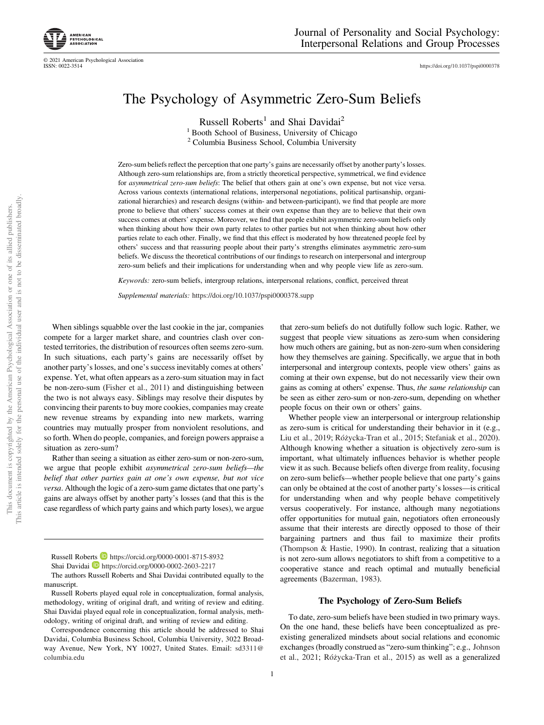© 2021 American Psychological Association

https://doi.org/10.1037/pspi0000378

# The Psychology of Asymmetric Zero-Sum Beliefs

Russell Roberts<sup>1</sup> and Shai Davidai<sup>2</sup> <sup>1</sup> Booth School of Business, University of Chicago

<sup>2</sup> Columbia Business School, Columbia University

Zero-sum beliefs reflect the perception that one party's gains are necessarily offset by another party's losses. Although zero-sum relationships are, from a strictly theoretical perspective, symmetrical, we find evidence for *asymmetrical zero-sum beliefs*: The belief that others gain at one's own expense, but not vice versa. Across various contexts (international relations, interpersonal negotiations, political partisanship, organizational hierarchies) and research designs (within- and between-participant), we find that people are more prone to believe that others' success comes at their own expense than they are to believe that their own success comes at others' expense. Moreover, we find that people exhibit asymmetric zero-sum beliefs only when thinking about how their own party relates to other parties but not when thinking about how other parties relate to each other. Finally, we find that this effect is moderated by how threatened people feel by others' success and that reassuring people about their party's strengths eliminates asymmetric zero-sum beliefs. We discuss the theoretical contributions of our findings to research on interpersonal and intergroup zero-sum beliefs and their implications for understanding when and why people view life as zero-sum.

*Keywords:* zero-sum beliefs, intergroup relations, interpersonal relations, conflict, perceived threat *Supplemental materials:* https://doi.org/10.1037/pspi0000378.supp

When siblings squabble over the last cookie in the jar, companies compete for a larger market share, and countries clash over contested territories, the distribution of resources often seems zero-sum. In such situations, each party's gains are necessarily offset by another party's losses, and one's success inevitably comes at others' expense. Yet, what often appears as a zero-sum situation may in fact be non-zero-sum (Fisher et al., 2011) and distinguishing between the two is not always easy. Siblings may resolve their disputes by convincing their parents to buy more cookies, companies may create new revenue streams by expanding into new markets, warring countries may mutually prosper from nonviolent resolutions, and so forth. When do people, companies, and foreign powers appraise a situation as zero-sum?

Rather than seeing a situation as either zero-sum or non-zero-sum, we argue that people exhibit *asymmetrical zero-sum beliefs*—*the belief that other parties gain at one*'*s own expense, but not vice versa*. Although the logic of a zero-sum game dictates that one party's gains are always offset by another party's losses (and that this is the case regardless of which party gains and which party loses), we argue

1

that zero-sum beliefs do not dutifully follow such logic. Rather, we suggest that people view situations as zero-sum when considering how much others are gaining, but as non-zero-sum when considering how they themselves are gaining. Specifically, we argue that in both interpersonal and intergroup contexts, people view others' gains as coming at their own expense, but do not necessarily view their own gains as coming at others' expense. Thus, *the same relationship* can be seen as either zero-sum or non-zero-sum, depending on whether people focus on their own or others' gains.

Whether people view an interpersonal or intergroup relationship as zero-sum is critical for understanding their behavior in it (e.g., Liu et al., 2019; Ro´życka-Tran et al., 2015; Stefaniak et al., 2020). Although knowing whether a situation is objectively zero-sum is important, what ultimately influences behavior is whether people view it as such. Because beliefs often diverge from reality, focusing on zero-sum beliefs—whether people believe that one party's gains can only be obtained at the cost of another party's losses—is critical for understanding when and why people behave competitively versus cooperatively. For instance, although many negotiations offer opportunities for mutual gain, negotiators often erroneously assume that their interests are directly opposed to those of their bargaining partners and thus fail to maximize their profits (Thompson & Hastie, 1990). In contrast, realizing that a situation is not zero-sum allows negotiators to shift from a competitive to a cooperative stance and reach optimal and mutually beneficial agreements (Bazerman, 1983).

### The Psychology of Zero-Sum Beliefs

To date, zero-sum beliefs have been studied in two primary ways. On the one hand, these beliefs have been conceptualized as preexisting generalized mindsets about social relations and economic exchanges (broadly construed as "zero-sum thinking"; e.g., Johnson et al., 2021; Ro´życka-Tran et al., 2015) as well as a generalized

Russell Roberts **https://orcid.org/0000-0001-8715-8932** 

Shai Davidai https://orcid.org/0000-0002-2603-2217

The authors Russell Roberts and Shai Davidai contributed equally to the manuscript.

Russell Roberts played equal role in conceptualization, formal analysis, methodology, writing of original draft, and writing of review and editing. Shai Davidai played equal role in conceptualization, formal analysis, methodology, writing of original draft, and writing of review and editing.

Correspondence concerning this article should be addressed to Shai Davidai, Columbia Business School, Columbia University, 3022 Broadway Avenue, New York, NY 10027, United States. Email: sd3311@ columbia.edu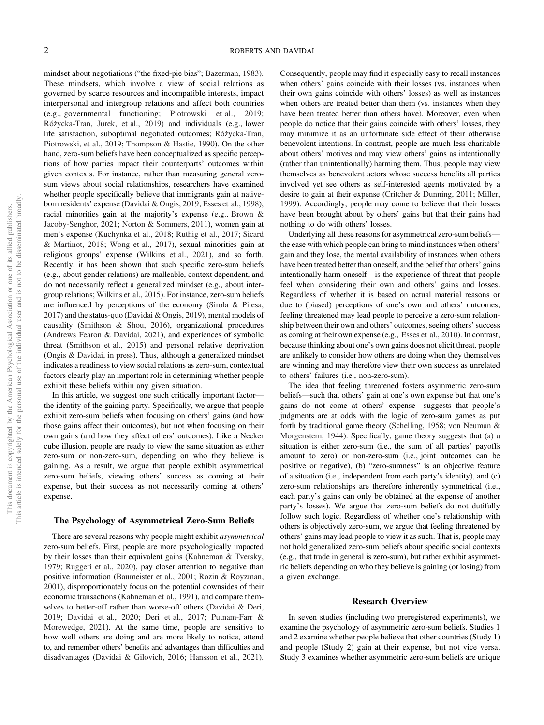mindset about negotiations ("the fixed-pie bias"; Bazerman, 1983). These mindsets, which involve a view of social relations as governed by scarce resources and incompatible interests, impact interpersonal and intergroup relations and affect both countries (e.g., governmental functioning; Piotrowski et al., 2019; Ro´życka-Tran, Jurek, et al., 2019) and individuals (e.g., lower life satisfaction, suboptimal negotiated outcomes; Różycka-Tran, Piotrowski, et al., 2019; Thompson & Hastie, 1990). On the other hand, zero-sum beliefs have been conceptualized as specific perceptions of how parties impact their counterparts' outcomes within given contexts. For instance, rather than measuring general zerosum views about social relationships, researchers have examined whether people specifically believe that immigrants gain at nativeborn residents' expense (Davidai & Ongis, 2019; Esses et al., 1998), racial minorities gain at the majority's expense (e.g., Brown & Jacoby-Senghor, 2021; Norton & Sommers, 2011), women gain at men's expense (Kuchynka et al., 2018; Ruthig et al., 2017; Sicard & Martinot, 2018; Wong et al., 2017), sexual minorities gain at religious groups' expense (Wilkins et al., 2021), and so forth. Recently, it has been shown that such specific zero-sum beliefs (e.g., about gender relations) are malleable, context dependent, and do not necessarily reflect a generalized mindset (e.g., about intergroup relations; Wilkins et al., 2015). For instance, zero-sum beliefs are influenced by perceptions of the economy (Sirola & Pitesa, 2017) and the status-quo (Davidai & Ongis, 2019), mental models of causality (Smithson & Shou, 2016), organizational procedures (Andrews Fearon & Davidai, 2021), and experiences of symbolic threat (Smithson et al., 2015) and personal relative deprivation (Ongis & Davidai, in press). Thus, although a generalized mindset indicates a readiness to view social relations as zero-sum, contextual factors clearly play an important role in determining whether people exhibit these beliefs within any given situation.

In this article, we suggest one such critically important factor the identity of the gaining party. Specifically, we argue that people exhibit zero-sum beliefs when focusing on others' gains (and how those gains affect their outcomes), but not when focusing on their own gains (and how they affect others' outcomes). Like a Necker cube illusion, people are ready to view the same situation as either zero-sum or non-zero-sum, depending on who they believe is gaining. As a result, we argue that people exhibit asymmetrical zero-sum beliefs, viewing others' success as coming at their expense, but their success as not necessarily coming at others' expense.

### The Psychology of Asymmetrical Zero-Sum Beliefs

There are several reasons why people might exhibit *asymmetrical* zero-sum beliefs. First, people are more psychologically impacted by their losses than their equivalent gains (Kahneman & Tversky, 1979; Ruggeri et al., 2020), pay closer attention to negative than positive information (Baumeister et al., 2001; Rozin & Royzman, 2001), disproportionately focus on the potential downsides of their economic transactions (Kahneman et al., 1991), and compare themselves to better-off rather than worse-off others (Davidai & Deri, 2019; Davidai et al., 2020; Deri et al., 2017; Putnam-Farr & Morewedge, 2021). At the same time, people are sensitive to how well others are doing and are more likely to notice, attend to, and remember others' benefits and advantages than difficulties and disadvantages (Davidai & Gilovich, 2016; Hansson et al., 2021). Consequently, people may find it especially easy to recall instances when others' gains coincide with their losses (vs. instances when their own gains coincide with others' losses) as well as instances when others are treated better than them (vs. instances when they have been treated better than others have). Moreover, even when people do notice that their gains coincide with others' losses, they may minimize it as an unfortunate side effect of their otherwise benevolent intentions. In contrast, people are much less charitable about others' motives and may view others' gains as intentionally (rather than unintentionally) harming them. Thus, people may view themselves as benevolent actors whose success benefits all parties involved yet see others as self-interested agents motivated by a desire to gain at their expense (Critcher & Dunning, 2011; Miller, 1999). Accordingly, people may come to believe that their losses have been brought about by others' gains but that their gains had nothing to do with others' losses.

Underlying all these reasons for asymmetrical zero-sum beliefs the ease with which people can bring to mind instances when others' gain and they lose, the mental availability of instances when others have been treated better than oneself, and the belief that others' gains intentionally harm oneself—is the experience of threat that people feel when considering their own and others' gains and losses. Regardless of whether it is based on actual material reasons or due to (biased) perceptions of one's own and others' outcomes, feeling threatened may lead people to perceive a zero-sum relationship between their own and others' outcomes, seeing others' success as coming at their own expense (e.g., Esses et al., 2010). In contrast, because thinking about one's own gains does not elicit threat, people are unlikely to consider how others are doing when they themselves are winning and may therefore view their own success as unrelated to others' failures (i.e., non-zero-sum).

The idea that feeling threatened fosters asymmetric zero-sum beliefs—such that others' gain at one's own expense but that one's gains do not come at others' expense—suggests that people's judgments are at odds with the logic of zero-sum games as put forth by traditional game theory (Schelling, 1958; von Neuman & Morgenstern, 1944). Specifically, game theory suggests that (a) a situation is either zero-sum (i.e., the sum of all parties' payoffs amount to zero) or non-zero-sum (i.e., joint outcomes can be positive or negative), (b) "zero-sumness" is an objective feature of a situation (i.e., independent from each party's identity), and (c) zero-sum relationships are therefore inherently symmetrical (i.e., each party's gains can only be obtained at the expense of another party's losses). We argue that zero-sum beliefs do not dutifully follow such logic. Regardless of whether one's relationship with others is objectively zero-sum, we argue that feeling threatened by others' gains may lead people to view it as such. That is, people may not hold generalized zero-sum beliefs about specific social contexts (e.g., that trade in general is zero-sum), but rather exhibit asymmetric beliefs depending on who they believe is gaining (or losing) from a given exchange.

### Research Overview

In seven studies (including two preregistered experiments), we examine the psychology of asymmetric zero-sum beliefs. Studies 1 and 2 examine whether people believe that other countries (Study 1) and people (Study 2) gain at their expense, but not vice versa. Study 3 examines whether asymmetric zero-sum beliefs are unique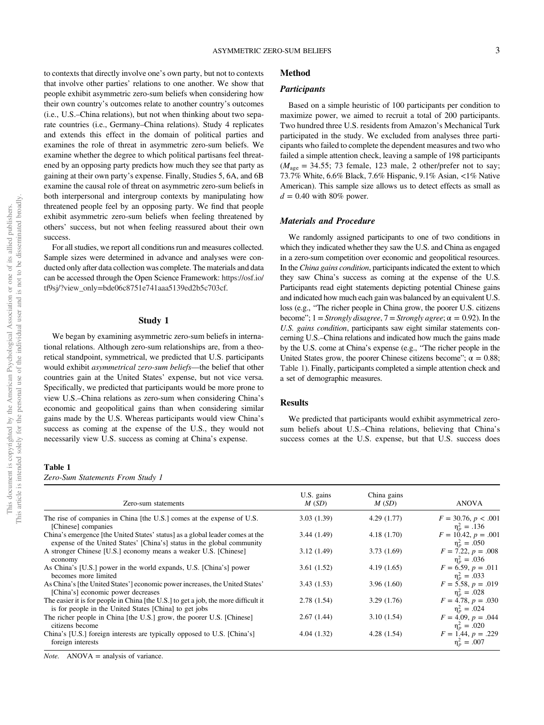to contexts that directly involve one's own party, but not to contexts that involve other parties' relations to one another. We show that people exhibit asymmetric zero-sum beliefs when considering how their own country's outcomes relate to another country's outcomes (i.e., U.S.–China relations), but not when thinking about two separate countries (i.e., Germany–China relations). Study 4 replicates and extends this effect in the domain of political parties and examines the role of threat in asymmetric zero-sum beliefs. We examine whether the degree to which political partisans feel threatened by an opposing party predicts how much they see that party as gaining at their own party's expense. Finally, Studies 5, 6A, and 6B examine the causal role of threat on asymmetric zero-sum beliefs in both interpersonal and intergroup contexts by manipulating how threatened people feel by an opposing party. We find that people exhibit asymmetric zero-sum beliefs when feeling threatened by others' success, but not when feeling reassured about their own success.

For all studies, we report all conditions run and measures collected. Sample sizes were determined in advance and analyses were conducted only after data collection was complete. The materials and data can be accessed through the Open Science Framework: https://osf.io/ tf9sj/?view\_only=bde06c8751e741aaa5139ed2b5c703cf.

### Study 1

We began by examining asymmetric zero-sum beliefs in international relations. Although zero-sum relationships are, from a theoretical standpoint, symmetrical, we predicted that U.S. participants would exhibit *asymmetrical zero-sum beliefs*—the belief that other countries gain at the United States' expense, but not vice versa. Specifically, we predicted that participants would be more prone to view U.S.–China relations as zero-sum when considering China's economic and geopolitical gains than when considering similar gains made by the U.S. Whereas participants would view China's success as coming at the expense of the U.S., they would not necessarily view U.S. success as coming at China's expense.

# Table 1

*Zero-Sum Statements From Study 1*

# Method

# **Participants**

Based on a simple heuristic of 100 participants per condition to maximize power, we aimed to recruit a total of 200 participants. Two hundred three U.S. residents from Amazon's Mechanical Turk participated in the study. We excluded from analyses three participants who failed to complete the dependent measures and two who failed a simple attention check, leaving a sample of 198 participants  $(M<sub>age</sub> = 34.55; 73 female, 123 male, 2 other-prefer not to say;$ 73.7% White, 6.6% Black, 7.6% Hispanic, 9.1% Asian, <1% Native American). This sample size allows us to detect effects as small as  $d = 0.40$  with 80% power.

# Materials and Procedure

We randomly assigned participants to one of two conditions in which they indicated whether they saw the U.S. and China as engaged in a zero-sum competition over economic and geopolitical resources. In the *China gains condition*, participants indicated the extent to which they saw China's success as coming at the expense of the U.S. Participants read eight statements depicting potential Chinese gains and indicated how much each gain was balanced by an equivalent U.S. loss (e.g., "The richer people in China grow, the poorer U.S. citizens become";  $1 =$  *Strongly disagree*,  $7 =$  *Strongly agree*;  $\alpha = 0.92$ ). In the *U.S. gains condition*, participants saw eight similar statements concerning U.S.–China relations and indicated how much the gains made by the U.S. come at China's expense (e.g., "The richer people in the United States grow, the poorer Chinese citizens become";  $\alpha = 0.88$ ; Table 1). Finally, participants completed a simple attention check and a set of demographic measures.

## Results

We predicted that participants would exhibit asymmetrical zerosum beliefs about U.S.–China relations, believing that China's success comes at the U.S. expense, but that U.S. success does

| Zero-sum statements                                                                                                                                     | U.S. gains<br>M(SD) | China gains<br>M(SD) | <b>ANOVA</b>                               |
|---------------------------------------------------------------------------------------------------------------------------------------------------------|---------------------|----------------------|--------------------------------------------|
| The rise of companies in China [the U.S.] comes at the expense of U.S.<br>[Chinese] companies                                                           | 3.03(1.39)          | 4.29(1.77)           | $F = 30.76, p < .001$<br>$\eta_n^2 = .136$ |
| China's emergence [the United States' status] as a global leader comes at the<br>expense of the United States' [China's] status in the global community | 3.44(1.49)          | 4.18(1.70)           | $F = 10.42, p = .001$<br>$\eta_n^2 = .050$ |
| A stronger Chinese [U.S.] economy means a weaker U.S. [Chinese]<br>economy                                                                              | 3.12(1.49)          | 3.73(1.69)           | $F = 7.22, p = .008$<br>$\eta_p^2 = .036$  |
| As China's [U.S.] power in the world expands, U.S. [China's] power<br>becomes more limited                                                              | 3.61(1.52)          | 4.19(1.65)           | $F = 6.59, p = .011$<br>$\eta_p^2 = .033$  |
| As China's [the United States'] economic power increases, the United States'<br>[China's] economic power decreases                                      | 3.43(1.53)          | 3.96(1.60)           | $F = 5.58, p = .019$<br>$\eta_p^2 = .028$  |
| The easier it is for people in China [the U.S.] to get a job, the more difficult it<br>is for people in the United States [China] to get jobs           | 2.78(1.54)          | 3.29(1.76)           | $F = 4.78, p = .030$<br>$\eta_n^2 = .024$  |
| The richer people in China [the U.S.] grow, the poorer U.S. [Chinese]<br>citizens become                                                                | 2.67(1.44)          | 3.10(1.54)           | $F = 4.09, p = .044$<br>$\eta_p^2 = .020$  |
| China's [U.S.] foreign interests are typically opposed to U.S. [China's]<br>foreign interests                                                           | 4.04(1.32)          | 4.28(1.54)           | $F = 1.44, p = .229$<br>$\eta_p^2 = .007$  |

*Note.* ANOVA = analysis of variance.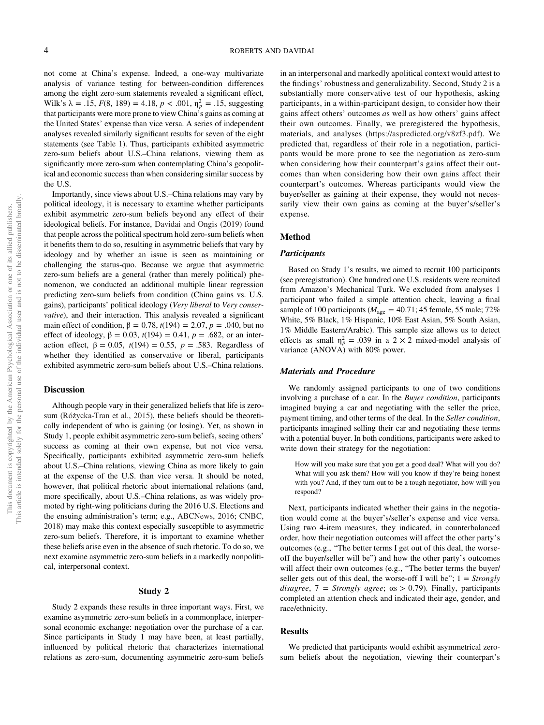not come at China's expense. Indeed, a one-way multivariate analysis of variance testing for between-condition differences among the eight zero-sum statements revealed a significant effect, Wilk's  $\lambda = .15$ ,  $F(8, 189) = 4.18$ ,  $p < .001$ ,  $\eta_p^2 = .15$ , suggesting that participants were more prone to view China's gains as coming at the United States' expense than vice versa. A series of independent analyses revealed similarly significant results for seven of the eight statements (see Table 1). Thus, participants exhibited asymmetric zero-sum beliefs about U.S.–China relations, viewing them as significantly more zero-sum when contemplating China's geopolitical and economic success than when considering similar success by the U.S.

Importantly, since views about U.S.–China relations may vary by political ideology, it is necessary to examine whether participants exhibit asymmetric zero-sum beliefs beyond any effect of their ideological beliefs. For instance, Davidai and Ongis (2019) found that people across the political spectrum hold zero-sum beliefs when it benefits them to do so, resulting in asymmetric beliefs that vary by ideology and by whether an issue is seen as maintaining or challenging the status-quo. Because we argue that asymmetric zero-sum beliefs are a general (rather than merely political) phenomenon, we conducted an additional multiple linear regression predicting zero-sum beliefs from condition (China gains vs. U.S. gains), participants' political ideology (*Very liberal* to *Very conservative*), and their interaction. This analysis revealed a significant main effect of condition,  $β = 0.78$ ,  $t(194) = 2.07$ ,  $p = .040$ , but no effect of ideology,  $β = 0.03$ ,  $t(194) = 0.41$ ,  $p = .682$ , or an interaction effect,  $β = 0.05$ ,  $t(194) = 0.55$ ,  $p = .583$ . Regardless of whether they identified as conservative or liberal, participants exhibited asymmetric zero-sum beliefs about U.S.–China relations.

# **Discussion**

Although people vary in their generalized beliefs that life is zerosum (Różycka-Tran et al., 2015), these beliefs should be theoretically independent of who is gaining (or losing). Yet, as shown in Study 1, people exhibit asymmetric zero-sum beliefs, seeing others' success as coming at their own expense, but not vice versa. Specifically, participants exhibited asymmetric zero-sum beliefs about U.S.–China relations, viewing China as more likely to gain at the expense of the U.S. than vice versa. It should be noted, however, that political rhetoric about international relations (and, more specifically, about U.S.–China relations, as was widely promoted by right-wing politicians during the 2016 U.S. Elections and the ensuing administration's term; e.g., ABCNews, 2016; CNBC, 2018) may make this context especially susceptible to asymmetric zero-sum beliefs. Therefore, it is important to examine whether these beliefs arise even in the absence of such rhetoric. To do so, we next examine asymmetric zero-sum beliefs in a markedly nonpolitical, interpersonal context.

### Study 2

Study 2 expands these results in three important ways. First, we examine asymmetric zero-sum beliefs in a commonplace, interpersonal economic exchange: negotiation over the purchase of a car. Since participants in Study 1 may have been, at least partially, influenced by political rhetoric that characterizes international relations as zero-sum, documenting asymmetric zero-sum beliefs in an interpersonal and markedly apolitical context would attest to the findings' robustness and generalizability. Second, Study 2 is a substantially more conservative test of our hypothesis, asking participants, in a within-participant design, to consider how their gains affect others' outcomes *a*s well as how others' gains affect their own outcomes. Finally, we preregistered the hypothesis, materials, and analyses (https://aspredicted.org/v8zf3.pdf). We predicted that, regardless of their role in a negotiation, participants would be more prone to see the negotiation as zero-sum when considering how their counterpart's gains affect their outcomes than when considering how their own gains affect their counterpart's outcomes. Whereas participants would view the buyer/seller as gaining at their expense, they would not necessarily view their own gains as coming at the buyer's/seller's expense.

# Method

### **Participants**

Based on Study 1's results, we aimed to recruit 100 participants (see preregistration). One hundred one U.S. residents were recruited from Amazon's Mechanical Turk. We excluded from analyses 1 participant who failed a simple attention check, leaving a final sample of 100 participants ( $M_{\text{age}} = 40.71$ ; 45 female, 55 male; 72% White, 5% Black, 1% Hispanic, 10% East Asian, 5% South Asian, 1% Middle Eastern/Arabic). This sample size allows us to detect effects as small  $\eta_p^2 = .039$  in a 2 × 2 mixed-model analysis of variance (ANOVA) with 80% power.

# Materials and Procedure

We randomly assigned participants to one of two conditions involving a purchase of a car. In the *Buyer condition*, participants imagined buying a car and negotiating with the seller the price, payment timing, and other terms of the deal. In the *Seller condition*, participants imagined selling their car and negotiating these terms with a potential buyer. In both conditions, participants were asked to write down their strategy for the negotiation:

How will you make sure that you get a good deal? What will you do? What will you ask them? How will you know if they're being honest with you? And, if they turn out to be a tough negotiator, how will you respond?

Next, participants indicated whether their gains in the negotiation would come at the buyer's/seller's expense and vice versa. Using two 4-item measures, they indicated, in counterbalanced order, how their negotiation outcomes will affect the other party's outcomes (e.g., "The better terms I get out of this deal, the worseoff the buyer/seller will be") and how the other party's outcomes will affect their own outcomes (e.g., "The better terms the buyer/ seller gets out of this deal, the worse-off I will be"; 1 = *Strongly disagree*, 7 = *Strongly agree*; αs > 0.79). Finally, participants completed an attention check and indicated their age, gender, and race/ethnicity.

# **Results**

We predicted that participants would exhibit asymmetrical zerosum beliefs about the negotiation, viewing their counterpart's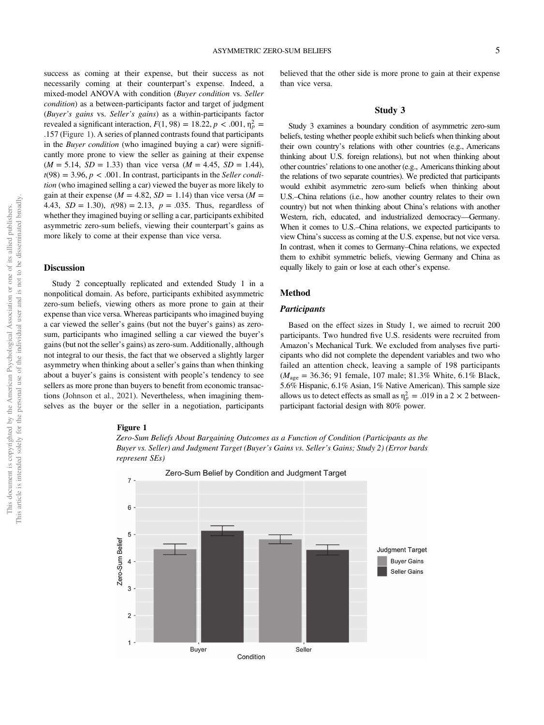success as coming at their expense, but their success as not necessarily coming at their counterpart's expense. Indeed, a mixed-model ANOVA with condition (*Buyer condition* vs. *Seller condition*) as a between-participants factor and target of judgment (*Buyer*'*s gains* vs. *Seller*'*s gains*) as a within-participants factor revealed a significant interaction,  $F(1, 98) = 18.22, p < .001, \eta_p^2 =$ .157 (Figure 1). A series of planned contrasts found that participants in the *Buyer condition* (who imagined buying a car) were significantly more prone to view the seller as gaining at their expense  $(M = 5.14, SD = 1.33)$  than vice versa  $(M = 4.45, SD = 1.44)$ ,  $t(98) = 3.96, p < .001$ . In contrast, participants in the *Seller condition* (who imagined selling a car) viewed the buyer as more likely to gain at their expense ( $M = 4.82$ ,  $SD = 1.14$ ) than vice versa ( $M =$ 4.43,  $SD = 1.30$ ,  $t(98) = 2.13$ ,  $p = .035$ . Thus, regardless of whether they imagined buying or selling a car, participants exhibited asymmetric zero-sum beliefs, viewing their counterpart's gains as more likely to come at their expense than vice versa.

# Discussion

Study 2 conceptually replicated and extended Study 1 in a nonpolitical domain. As before, participants exhibited asymmetric zero-sum beliefs, viewing others as more prone to gain at their expense than vice versa. Whereas participants who imagined buying a car viewed the seller's gains (but not the buyer's gains) as zerosum, participants who imagined selling a car viewed the buyer's gains (but not the seller's gains) as zero-sum. Additionally, although not integral to our thesis, the fact that we observed a slightly larger asymmetry when thinking about a seller's gains than when thinking about a buyer's gains is consistent with people's tendency to see sellers as more prone than buyers to benefit from economic transactions (Johnson et al., 2021). Nevertheless, when imagining themselves as the buyer or the seller in a negotiation, participants believed that the other side is more prone to gain at their expense than vice versa.

### Study 3

Study 3 examines a boundary condition of asymmetric zero-sum beliefs, testing whether people exhibit such beliefs when thinking about their own country's relations with other countries (e.g., Americans thinking about U.S. foreign relations), but not when thinking about other countries' relations to one another (e.g., Americans thinking about the relations of two separate countries). We predicted that participants would exhibit asymmetric zero-sum beliefs when thinking about U.S.–China relations (i.e., how another country relates to their own country) but not when thinking about China's relations with another Western, rich, educated, and industrialized democracy—Germany. When it comes to U.S.–China relations, we expected participants to view China's success as coming at the U.S. expense, but not vice versa. In contrast, when it comes to Germany–China relations, we expected them to exhibit symmetric beliefs, viewing Germany and China as equally likely to gain or lose at each other's expense.

# Method

### **Participants**

Based on the effect sizes in Study 1, we aimed to recruit 200 participants. Two hundred five U.S. residents were recruited from Amazon's Mechanical Turk. We excluded from analyses five participants who did not complete the dependent variables and two who failed an attention check, leaving a sample of 198 participants (*M*age = 36.36; 91 female, 107 male; 81.3% White, 6.1% Black, 5.6% Hispanic, 6.1% Asian, 1% Native American). This sample size allows us to detect effects as small as  $\eta_p^2 = .019$  in a 2  $\times$  2 betweenparticipant factorial design with 80% power.

### Figure 1



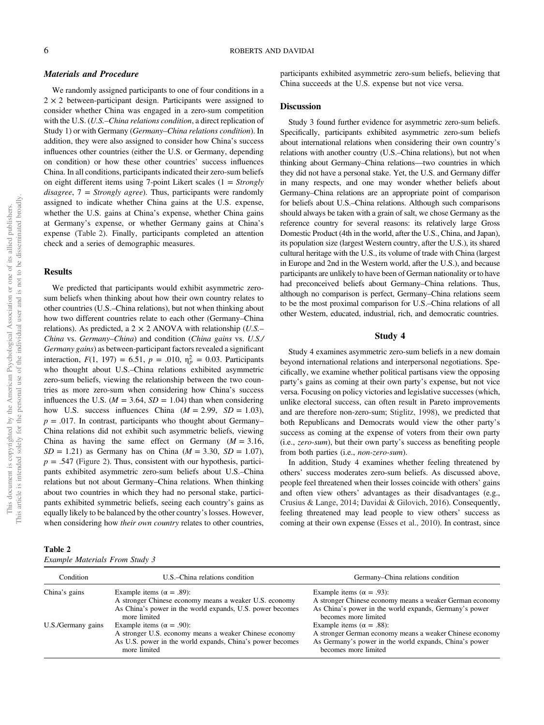# Materials and Procedure

We randomly assigned participants to one of four conditions in a  $2 \times 2$  between-participant design. Participants were assigned to consider whether China was engaged in a zero-sum competition with the U.S. (*U.S.*–*China relations condition*, a direct replication of Study 1) or with Germany (*Germany*–*China relations condition*). In addition, they were also assigned to consider how China's success influences other countries (either the U.S. or Germany, depending on condition) or how these other countries' success influences China. In all conditions, participants indicated their zero-sum beliefs on eight different items using 7-point Likert scales (1 = *Strongly disagree*, 7 = *Strongly agree*). Thus, participants were randomly assigned to indicate whether China gains at the U.S. expense, whether the U.S. gains at China's expense, whether China gains at Germany's expense, or whether Germany gains at China's expense (Table 2). Finally, participants completed an attention check and a series of demographic measures.

### **Results**

We predicted that participants would exhibit asymmetric zerosum beliefs when thinking about how their own country relates to other countries (U.S.–China relations), but not when thinking about how two different countries relate to each other (Germany–China relations). As predicted, a 2 × 2 ANOVA with relationship (*U.S.*– *China* vs. *Germany*–*China*) and condition (*China gains* vs. *U.S./ Germany gains*) as between-participant factors revealed a significant interaction,  $F(1, 197) = 6.51$ ,  $p = .010$ ,  $\eta_p^2 = 0.03$ . Participants who thought about U.S.–China relations exhibited asymmetric zero-sum beliefs, viewing the relationship between the two countries as more zero-sum when considering how China's success influences the U.S. ( $M = 3.64$ ,  $SD = 1.04$ ) than when considering how U.S. success influences China  $(M = 2.99, SD = 1.03)$ ,  $p = .017$ . In contrast, participants who thought about Germany– China relations did not exhibit such asymmetric beliefs, viewing China as having the same effect on Germany  $(M = 3.16,$  $SD = 1.21$ ) as Germany has on China ( $M = 3.30$ ,  $SD = 1.07$ ),  $p = .547$  (Figure 2). Thus, consistent with our hypothesis, participants exhibited asymmetric zero-sum beliefs about U.S.–China relations but not about Germany–China relations. When thinking about two countries in which they had no personal stake, participants exhibited symmetric beliefs, seeing each country's gains as equally likely to be balanced by the other country's losses. However, when considering how *their own country* relates to other countries,

| Table 2 |                                |  |  |
|---------|--------------------------------|--|--|
|         | Example Materials From Study 3 |  |  |

participants exhibited asymmetric zero-sum beliefs, believing that China succeeds at the U.S. expense but not vice versa.

# **Discussion**

Study 3 found further evidence for asymmetric zero-sum beliefs. Specifically, participants exhibited asymmetric zero-sum beliefs about international relations when considering their own country's relations with another country (U.S.–China relations), but not when thinking about Germany–China relations—two countries in which they did not have a personal stake. Yet, the U.S. and Germany differ in many respects, and one may wonder whether beliefs about Germany–China relations are an appropriate point of comparison for beliefs about U.S.–China relations. Although such comparisons should always be taken with a grain of salt, we chose Germany as the reference country for several reasons: its relatively large Gross Domestic Product (4th in the world, after the U.S., China, and Japan), its population size (largest Western country, after the U.S.), its shared cultural heritage with the U.S., its volume of trade with China (largest in Europe and 2nd in the Western world, after the U.S.), and because participants are unlikely to have been of German nationality or to have had preconceived beliefs about Germany–China relations. Thus, although no comparison is perfect, Germany–China relations seem to be the most proximal comparison for U.S.–China relations of all other Western, educated, industrial, rich, and democratic countries.

# Study 4

Study 4 examines asymmetric zero-sum beliefs in a new domain beyond international relations and interpersonal negotiations. Specifically, we examine whether political partisans view the opposing party's gains as coming at their own party's expense, but not vice versa. Focusing on policy victories and legislative successes (which, unlike electoral success, can often result in Pareto improvements and are therefore non-zero-sum; Stiglitz, 1998), we predicted that both Republicans and Democrats would view the other party's success as coming at the expense of voters from their own party (i.e., *zero-sum*), but their own party's success as benefiting people from both parties (i.e., *non-zero-sum*).

In addition, Study 4 examines whether feeling threatened by others' success moderates zero-sum beliefs. As discussed above, people feel threatened when their losses coincide with others' gains and often view others' advantages as their disadvantages (e.g., Crusius & Lange, 2014; Davidai & Gilovich, 2016). Consequently, feeling threatened may lead people to view others' success as coming at their own expense (Esses et al., 2010). In contrast, since

| Condition          | U.S.–China relations condition                                                                                                                                           | Germany–China relations condition                                                                                                                                               |
|--------------------|--------------------------------------------------------------------------------------------------------------------------------------------------------------------------|---------------------------------------------------------------------------------------------------------------------------------------------------------------------------------|
| China's gains      | Example items ( $\alpha = .89$ ):<br>A stronger Chinese economy means a weaker U.S. economy<br>As China's power in the world expands, U.S. power becomes<br>more limited | Example items ( $\alpha = .93$ ):<br>A stronger Chinese economy means a weaker German economy<br>As China's power in the world expands, Germany's power<br>becomes more limited |
| U.S./Germany gains | Example items ( $\alpha = .90$ ):<br>A stronger U.S. economy means a weaker Chinese economy<br>As U.S. power in the world expands, China's power becomes<br>more limited | Example items ( $\alpha = .88$ ):<br>A stronger German economy means a weaker Chinese economy<br>As Germany's power in the world expands, China's power<br>becomes more limited |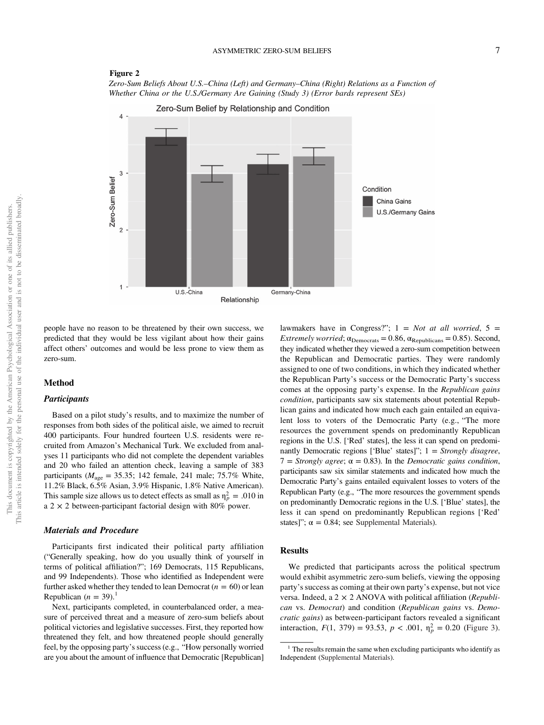# Figure 2

*Zero-Sum Beliefs About U.S.*–*China (Left) and Germany*–*China (Right) Relations as a Function of Whether China or the U.S./Germany Are Gaining (Study 3) (Error bards represent SEs)*



people have no reason to be threatened by their own success, we predicted that they would be less vigilant about how their gains affect others' outcomes and would be less prone to view them as zero-sum.

# Method

# **Participants**

Based on a pilot study's results, and to maximize the number of responses from both sides of the political aisle, we aimed to recruit 400 participants. Four hundred fourteen U.S. residents were recruited from Amazon's Mechanical Turk. We excluded from analyses 11 participants who did not complete the dependent variables and 20 who failed an attention check, leaving a sample of 383 participants ( $M_{\text{age}} = 35.35$ ; 142 female, 241 male; 75.7% White, 11.2% Black, 6.5% Asian, 3.9% Hispanic, 1.8% Native American). This sample size allows us to detect effects as small as  $\eta_p^2 = .010$  in a 2  $\times$  2 between-participant factorial design with 80% power.

# Materials and Procedure

Participants first indicated their political party affiliation ("Generally speaking, how do you usually think of yourself in terms of political affiliation?"; 169 Democrats, 115 Republicans, and 99 Independents). Those who identified as Independent were further asked whether they tended to lean Democrat  $(n = 60)$  or lean Republican  $(n = 39)$ .<sup>1</sup>

Next, participants completed, in counterbalanced order, a measure of perceived threat and a measure of zero-sum beliefs about political victories and legislative successes. First, they reported how threatened they felt, and how threatened people should generally feel, by the opposing party's success (e.g., "How personally worried are you about the amount of influence that Democratic [Republican] lawmakers have in Congress?"; 1 = *Not at all worried*, 5 = *Extremely worried*;  $\alpha_{\text{Denocrats}} = 0.86$ ,  $\alpha_{\text{Republicans}} = 0.85$ ). Second, they indicated whether they viewed a zero-sum competition between the Republican and Democratic parties. They were randomly assigned to one of two conditions, in which they indicated whether the Republican Party's success or the Democratic Party's success comes at the opposing party's expense. In the *Republican gains condition*, participants saw six statements about potential Republican gains and indicated how much each gain entailed an equivalent loss to voters of the Democratic Party (e.g., "The more resources the government spends on predominantly Republican regions in the U.S. ['Red' states], the less it can spend on predominantly Democratic regions ['Blue' states]"; 1 = *Strongly disagree*,  $7 =$  *Strongly agree*;  $\alpha = 0.83$ *)*. In the *Democratic gains condition*, participants saw six similar statements and indicated how much the Democratic Party's gains entailed equivalent losses to voters of the Republican Party (e.g., "The more resources the government spends on predominantly Democratic regions in the U.S. ['Blue' states], the less it can spend on predominantly Republican regions ['Red' states]";  $\alpha = 0.84$ ; see Supplemental Materials).

# Results

We predicted that participants across the political spectrum would exhibit asymmetric zero-sum beliefs, viewing the opposing party's success as coming at their own party's expense, but not vice versa. Indeed, a 2 × 2 ANOVA with political affiliation (*Republican* vs. *Democrat*) and condition (*Republican gains* vs. *Democratic gains*) as between-participant factors revealed a significant interaction,  $F(1, 379) = 93.53$ ,  $p < .001$ ,  $\eta_p^2 = 0.20$  (Figure 3).

<sup>&</sup>lt;sup>1</sup> The results remain the same when excluding participants who identify as Independent (Supplemental Materials).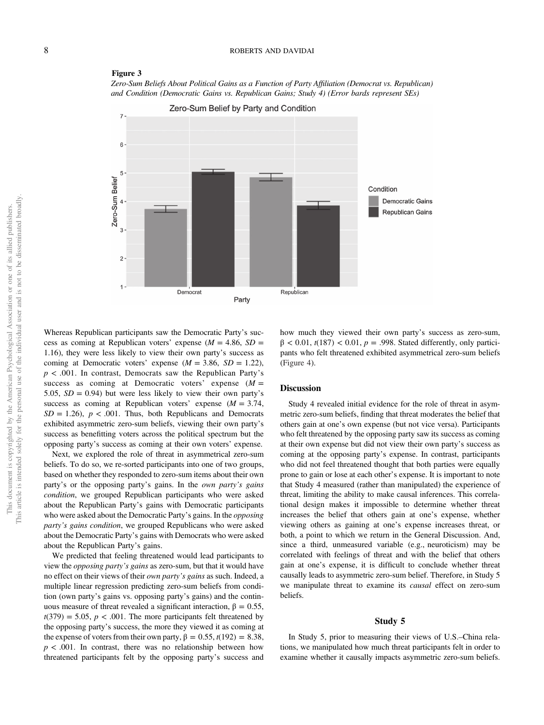

*Zero-Sum Beliefs About Political Gains as a Function of Party Af*fi*liation (Democrat vs. Republican) and Condition (Democratic Gains vs. Republican Gains; Study 4) (Error bards represent SEs)*



# This article is intended solely for the personal use of the individual user and is not to be disseminated broadly. This article is intended solely for the personal use of the individual user and is not to be disseminated broadly This document is copyrighted by the American Psychological Association or one of its allied publishers. This document is copyrighted by the American Psychological Association or one of its allied publishers.

Whereas Republican participants saw the Democratic Party's success as coming at Republican voters' expense  $(M = 4.86, SD =$ 1.16), they were less likely to view their own party's success as coming at Democratic voters' expense  $(M = 3.86, SD = 1.22)$ , *p* < .001. In contrast, Democrats saw the Republican Party's success as coming at Democratic voters' expense (*M* = 5.05,  $SD = 0.94$ ) but were less likely to view their own party's success as coming at Republican voters' expense (*M* = 3.74,  $SD = 1.26$ ,  $p < .001$ . Thus, both Republicans and Democrats exhibited asymmetric zero-sum beliefs, viewing their own party's success as benefitting voters across the political spectrum but the opposing party's success as coming at their own voters' expense.

Next, we explored the role of threat in asymmetrical zero-sum beliefs. To do so, we re-sorted participants into one of two groups, based on whether they responded to zero-sum items about their own party's or the opposing party's gains. In the *own party*'*s gains condition*, we grouped Republican participants who were asked about the Republican Party's gains with Democratic participants who were asked about the Democratic Party's gains. In the *opposing party*'*s gains condition*, we grouped Republicans who were asked about the Democratic Party's gains with Democrats who were asked about the Republican Party's gains.

We predicted that feeling threatened would lead participants to view the *opposing party*'*s gains* as zero-sum, but that it would have no effect on their views of their *own party*'*s gains* as such. Indeed, a multiple linear regression predicting zero-sum beliefs from condition (own party's gains vs. opposing party's gains) and the continuous measure of threat revealed a significant interaction,  $β = 0.55$ ,  $t(379) = 5.05$ ,  $p < .001$ . The more participants felt threatened by the opposing party's success, the more they viewed it as coming at the expense of voters from their own party,  $β = 0.55$ ,  $t(192) = 8.38$ ,  $p < .001$ . In contrast, there was no relationship between how threatened participants felt by the opposing party's success and how much they viewed their own party's success as zero-sum,  $β < 0.01$ ,  $t(187) < 0.01$ ,  $p = .998$ . Stated differently, only participants who felt threatened exhibited asymmetrical zero-sum beliefs (Figure 4).

### **Discussion**

Study 4 revealed initial evidence for the role of threat in asymmetric zero-sum beliefs, finding that threat moderates the belief that others gain at one's own expense (but not vice versa). Participants who felt threatened by the opposing party saw its success as coming at their own expense but did not view their own party's success as coming at the opposing party's expense. In contrast, participants who did not feel threatened thought that both parties were equally prone to gain or lose at each other's expense. It is important to note that Study 4 measured (rather than manipulated) the experience of threat, limiting the ability to make causal inferences. This correlational design makes it impossible to determine whether threat increases the belief that others gain at one's expense, whether viewing others as gaining at one's expense increases threat, or both, a point to which we return in the General Discussion. And, since a third, unmeasured variable (e.g., neuroticism) may be correlated with feelings of threat and with the belief that others gain at one's expense, it is difficult to conclude whether threat causally leads to asymmetric zero-sum belief. Therefore, in Study 5 we manipulate threat to examine its *causal* effect on zero-sum beliefs.

### Study 5

In Study 5, prior to measuring their views of U.S.–China relations, we manipulated how much threat participants felt in order to examine whether it causally impacts asymmetric zero-sum beliefs.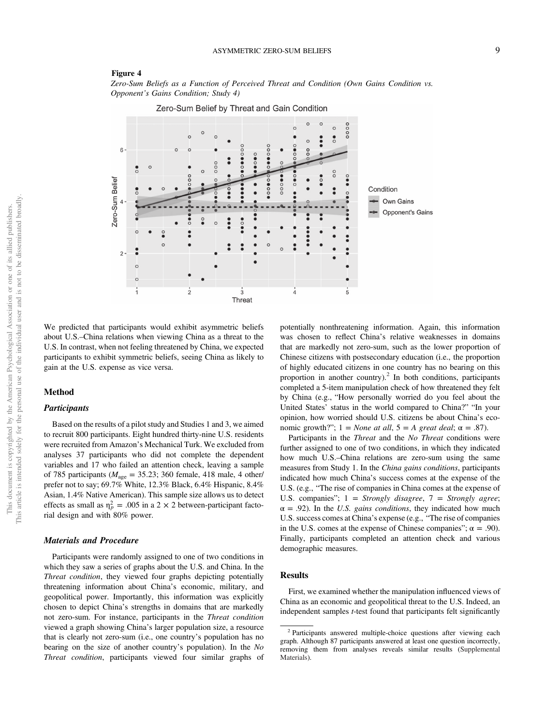### Figure 4

*Zero-Sum Beliefs as a Function of Perceived Threat and Condition (Own Gains Condition vs. Opponent*'*s Gains Condition; Study 4)*

Zero-Sum Belief by Threat and Gain Condition



We predicted that participants would exhibit asymmetric beliefs about U.S.–China relations when viewing China as a threat to the U.S. In contrast, when not feeling threatened by China, we expected participants to exhibit symmetric beliefs, seeing China as likely to gain at the U.S. expense as vice versa.

### Method

# **Participants**

Based on the results of a pilot study and Studies 1 and 3, we aimed to recruit 800 participants. Eight hundred thirty-nine U.S. residents were recruited from Amazon's Mechanical Turk. We excluded from analyses 37 participants who did not complete the dependent variables and 17 who failed an attention check, leaving a sample of 785 participants ( $M_{\text{age}} = 35.23$ ; 360 female, 418 male, 4 other/ prefer not to say; 69.7% White, 12.3% Black, 6.4% Hispanic, 8.4% Asian, 1.4% Native American). This sample size allows us to detect effects as small as  $\eta_p^2 = .005$  in a 2 × 2 between-participant factorial design and with 80% power.

### Materials and Procedure

Participants were randomly assigned to one of two conditions in which they saw a series of graphs about the U.S. and China. In the *Threat condition*, they viewed four graphs depicting potentially threatening information about China's economic, military, and geopolitical power. Importantly, this information was explicitly chosen to depict China's strengths in domains that are markedly not zero-sum. For instance, participants in the *Threat condition* viewed a graph showing China's larger population size, a resource that is clearly not zero-sum (i.e., one country's population has no bearing on the size of another country's population). In the *No Threat condition*, participants viewed four similar graphs of

potentially nonthreatening information. Again, this information was chosen to reflect China's relative weaknesses in domains that are markedly not zero-sum, such as the lower proportion of Chinese citizens with postsecondary education (i.e., the proportion of highly educated citizens in one country has no bearing on this proportion in another country).<sup>2</sup> In both conditions, participants completed a 5-item manipulation check of how threatened they felt by China (e.g., "How personally worried do you feel about the United States' status in the world compared to China?" "In your opinion, how worried should U.S. citizens be about China's economic growth?";  $1 = None$  *at all*,  $5 = A$  *great deal*;  $\alpha = .87$ ).

Participants in the *Threat* and the *No Threat* conditions were further assigned to one of two conditions, in which they indicated how much U.S.–China relations are zero-sum using the same measures from Study 1. In the *China gains conditions*, participants indicated how much China's success comes at the expense of the U.S. (e.g., "The rise of companies in China comes at the expense of U.S. companies"; 1 = *Strongly disagree*, 7 = *Strongly agree*;  $\alpha$  = .92). In the *U.S. gains conditions*, they indicated how much U.S. success comes at China's expense (e.g., "The rise of companies in the U.S. comes at the expense of Chinese companies";  $\alpha = .90$ ). Finally, participants completed an attention check and various demographic measures.

# Results

First, we examined whether the manipulation influenced views of China as an economic and geopolitical threat to the U.S. Indeed, an independent samples *t*-test found that participants felt significantly

<sup>&</sup>lt;sup>2</sup> Participants answered multiple-choice questions after viewing each graph. Although 87 participants answered at least one question incorrectly, removing them from analyses reveals similar results (Supplemental Materials).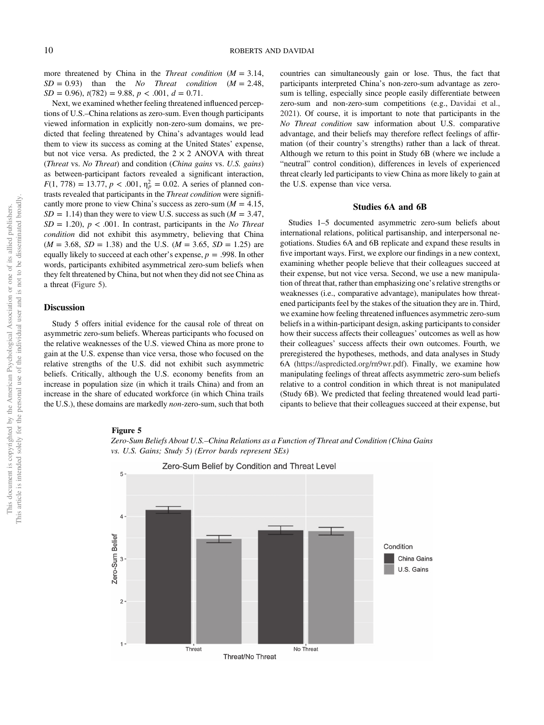more threatened by China in the *Threat condition* (*M* = 3.14,  $SD = 0.93$ ) than the *No Threat condition*  $(M = 2.48,$  $SD = 0.96$ ,  $t(782) = 9.88$ ,  $p < .001$ ,  $d = 0.71$ .

Next, we examined whether feeling threatened influenced perceptions of U.S.–China relations as zero-sum. Even though participants viewed information in explicitly non-zero-sum domains, we predicted that feeling threatened by China's advantages would lead them to view its success as coming at the United States' expense, but not vice versa. As predicted, the  $2 \times 2$  ANOVA with threat (*Threat* vs. *No Threat*) and condition (*China gains* vs. *U.S. gains*) as between-participant factors revealed a significant interaction,  $F(1, 778) = 13.77$ ,  $p < .001$ ,  $\eta_p^2 = 0.02$ . A series of planned contrasts revealed that participants in the *Threat condition* were significantly more prone to view China's success as zero-sum  $(M = 4.15,$  $SD = 1.14$ ) than they were to view U.S. success as such ( $M = 3.47$ , *SD* = 1.20), *p* < .001. In contrast, participants in the *No Threat condition* did not exhibit this asymmetry, believing that China  $(M = 3.68, SD = 1.38)$  and the U.S.  $(M = 3.65, SD = 1.25)$  are equally likely to succeed at each other's expense, *p* = .998. In other words, participants exhibited asymmetrical zero-sum beliefs when they felt threatened by China, but not when they did not see China as a threat (Figure 5).

# Discussion

Study 5 offers initial evidence for the causal role of threat on asymmetric zero-sum beliefs. Whereas participants who focused on the relative weaknesses of the U.S. viewed China as more prone to gain at the U.S. expense than vice versa, those who focused on the relative strengths of the U.S. did not exhibit such asymmetric beliefs. Critically, although the U.S. economy benefits from an increase in population size (in which it trails China) and from an increase in the share of educated workforce (in which China trails the U.S.), these domains are markedly *non*-zero-sum, such that both countries can simultaneously gain or lose. Thus, the fact that participants interpreted China's non-zero-sum advantage as zerosum is telling, especially since people easily differentiate between zero-sum and non-zero-sum competitions (e.g., Davidai et al., 2021). Of course, it is important to note that participants in the *No Threat condition* saw information about U.S. comparative advantage, and their beliefs may therefore reflect feelings of affirmation (of their country's strengths) rather than a lack of threat. Although we return to this point in Study 6B (where we include a "neutral" control condition), differences in levels of experienced threat clearly led participants to view China as more likely to gain at the U.S. expense than vice versa.

### Studies 6A and 6B

Studies 1–5 documented asymmetric zero-sum beliefs about international relations, political partisanship, and interpersonal negotiations. Studies 6A and 6B replicate and expand these results in five important ways. First, we explore our findings in a new context, examining whether people believe that their colleagues succeed at their expense, but not vice versa. Second, we use a new manipulation of threat that, rather than emphasizing one's relative strengths or weaknesses (i.e., comparative advantage), manipulates how threatened participants feel by the stakes of the situation they are in. Third, we examine how feeling threatened influences asymmetric zero-sum beliefs in a within-participant design, asking participants to consider how their success affects their colleagues' outcomes as well as how their colleagues' success affects their own outcomes. Fourth, we preregistered the hypotheses, methods, and data analyses in Study 6A (https://aspredicted.org/rn9wr.pdf). Finally, we examine how manipulating feelings of threat affects asymmetric zero-sum beliefs relative to a control condition in which threat is not manipulated (Study 6B). We predicted that feeling threatened would lead participants to believe that their colleagues succeed at their expense, but

### Figure 5



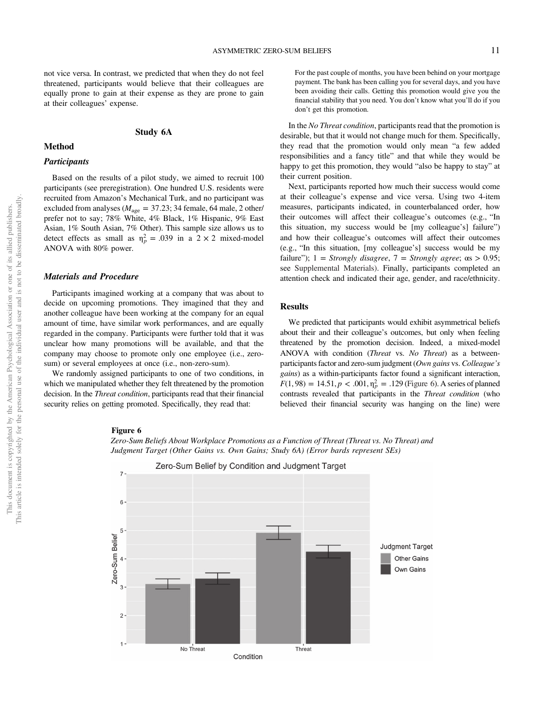not vice versa. In contrast, we predicted that when they do not feel threatened, participants would believe that their colleagues are equally prone to gain at their expense as they are prone to gain at their colleagues' expense.

# Study 6A

# Method

# **Participants**

Based on the results of a pilot study, we aimed to recruit 100 participants (see preregistration). One hundred U.S. residents were recruited from Amazon's Mechanical Turk, and no participant was excluded from analyses ( $M_{\text{age}} = 37.23$ ; 34 female, 64 male, 2 other/ prefer not to say; 78% White, 4% Black, 1% Hispanic, 9% East Asian, 1% South Asian, 7% Other). This sample size allows us to detect effects as small as  $\eta_p^2 = .039$  in a  $2 \times 2$  mixed-model ANOVA with 80% power.

# Materials and Procedure

Participants imagined working at a company that was about to decide on upcoming promotions. They imagined that they and another colleague have been working at the company for an equal amount of time, have similar work performances, and are equally regarded in the company. Participants were further told that it was unclear how many promotions will be available, and that the company may choose to promote only one employee (i.e., zerosum) or several employees at once (i.e., non-zero-sum).

We randomly assigned participants to one of two conditions, in which we manipulated whether they felt threatened by the promotion decision. In the *Threat condition*, participants read that their financial security relies on getting promoted. Specifically, they read that:

For the past couple of months, you have been behind on your mortgage payment. The bank has been calling you for several days, and you have been avoiding their calls. Getting this promotion would give you the financial stability that you need. You don't know what you'll do if you don't get this promotion.

In the *No Threat condition*, participants read that the promotion is desirable, but that it would not change much for them. Specifically, they read that the promotion would only mean "a few added responsibilities and a fancy title" and that while they would be happy to get this promotion, they would "also be happy to stay" at their current position.

Next, participants reported how much their success would come at their colleague's expense and vice versa. Using two 4-item measures, participants indicated, in counterbalanced order, how their outcomes will affect their colleague's outcomes (e.g., "In this situation, my success would be [my colleague's] failure") and how their colleague's outcomes will affect their outcomes (e.g., "In this situation, [my colleague's] success would be my failure");  $1 =$  *Strongly disagree*,  $7 =$  *Strongly agree*;  $\alpha s > 0.95$ ; see Supplemental Materials). Finally, participants completed an attention check and indicated their age, gender, and race/ethnicity.

# Results

We predicted that participants would exhibit asymmetrical beliefs about their and their colleague's outcomes, but only when feeling threatened by the promotion decision. Indeed, a mixed-model ANOVA with condition (*Threat* vs. *No Threat*) as a betweenparticipants factor and zero-sum judgment (*Own gains* vs. *Colleague*'*s gains*) as a within-participants factor found a significant interaction,  $F(1, 98) = 14.51, p < .001, \eta_p^2 = .129$  (Figure 6). A series of planned contrasts revealed that participants in the *Threat condition* (who believed their financial security was hanging on the line) were

### Figure 6



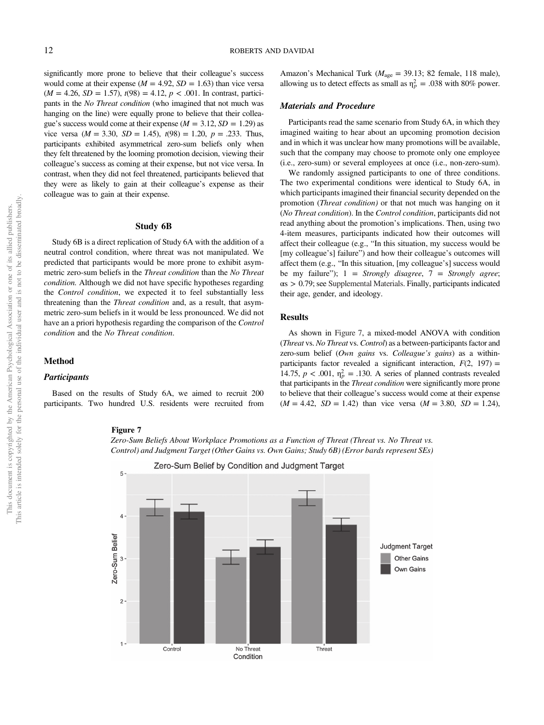significantly more prone to believe that their colleague's success would come at their expense  $(M = 4.92, SD = 1.63)$  than vice versa  $(M = 4.26, SD = 1.57), t(98) = 4.12, p < .001$ . In contrast, participants in the *No Threat condition* (who imagined that not much was hanging on the line) were equally prone to believe that their colleague's success would come at their expense  $(M = 3.12, SD = 1.29)$  as vice versa ( $M = 3.30$ ,  $SD = 1.45$ ),  $t(98) = 1.20$ ,  $p = .233$ . Thus, participants exhibited asymmetrical zero-sum beliefs only when they felt threatened by the looming promotion decision, viewing their colleague's success as coming at their expense, but not vice versa. In contrast, when they did not feel threatened, participants believed that they were as likely to gain at their colleague's expense as their colleague was to gain at their expense.

# Study 6B

Study 6B is a direct replication of Study 6A with the addition of a neutral control condition, where threat was not manipulated. We predicted that participants would be more prone to exhibit asymmetric zero-sum beliefs in the *Threat condition* than the *No Threat condition.* Although we did not have specific hypotheses regarding the *Control condition*, we expected it to feel substantially less threatening than the *Threat condition* and, as a result, that asymmetric zero-sum beliefs in it would be less pronounced. We did not have an a priori hypothesis regarding the comparison of the *Control condition* and the *No Threat condition*.

# Method

### **Participants**

Based on the results of Study 6A, we aimed to recruit 200 participants. Two hundred U.S. residents were recruited from

### Figure 7



*Zero-Sum Beliefs About Workplace Promotions as a Function of Threat (Threat vs. No Threat vs. Control) and Judgment Target (Other Gains vs. Own Gains; Study 6B) (Error bards represent SEs)*

Amazon's Mechanical Turk ( $M<sub>age</sub> = 39.13$ ; 82 female, 118 male), allowing us to detect effects as small as  $\eta_p^2 = .038$  with 80% power.

# Materials and Procedure

Participants read the same scenario from Study 6A, in which they imagined waiting to hear about an upcoming promotion decision and in which it was unclear how many promotions will be available, such that the company may choose to promote only one employee (i.e., zero-sum) or several employees at once (i.e., non-zero-sum).

We randomly assigned participants to one of three conditions. The two experimental conditions were identical to Study 6A, in which participants imagined their financial security depended on the promotion (*Threat condition)* or that not much was hanging on it (*No Threat condition*). In the *Control condition*, participants did not read anything about the promotion's implications. Then, using two 4-item measures, participants indicated how their outcomes will affect their colleague (e.g., "In this situation, my success would be [my colleague's] failure") and how their colleague's outcomes will affect them (e.g., "In this situation, [my colleague's] success would be my failure"); 1 = *Strongly disagree*, 7 = *Strongly agree*;  $\alpha s > 0.79$ ; see Supplemental Materials. Finally, participants indicated their age, gender, and ideology.

# **Results**

As shown in Figure 7, a mixed-model ANOVA with condition (*Threat* vs. *No Threat* vs. *Control*) as a between-participants factor and zero-sum belief (*Own gains* vs. *Colleague*'*s gains*) as a withinparticipants factor revealed a significant interaction,  $F(2, 197) =$ 14.75,  $p < .001$ ,  $\eta_p^2 = .130$ . A series of planned contrasts revealed that participants in the *Threat condition* were significantly more prone to believe that their colleague's success would come at their expense  $(M = 4.42, SD = 1.42)$  than vice versa  $(M = 3.80, SD = 1.24)$ ,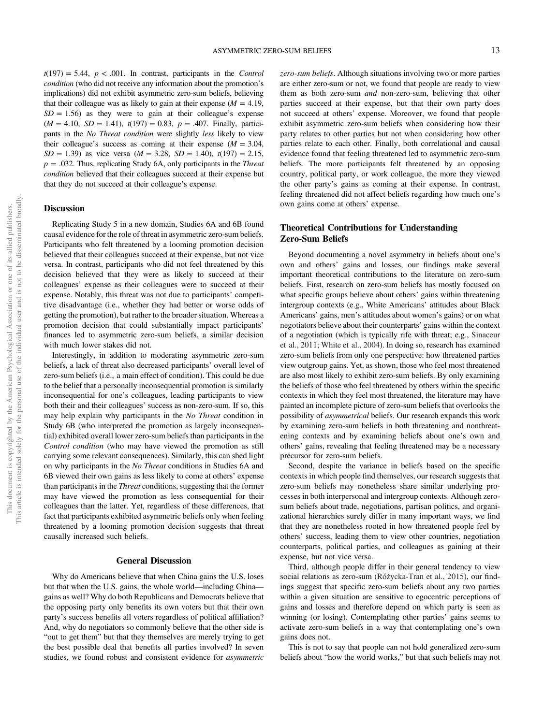$t(197) = 5.44$ ,  $p < .001$ . In contrast, participants in the *Control condition* (who did not receive any information about the promotion's implications) did not exhibit asymmetric zero-sum beliefs, believing that their colleague was as likely to gain at their expense  $(M = 4.19)$ ,  $SD = 1.56$ ) as they were to gain at their colleague's expense (*M* = 4.10, *SD* = 1.41), *t*(197) = 0.83, *p* = .407. Finally, participants in the *No Threat condition* were slightly *less* likely to view their colleague's success as coming at their expense  $(M = 3.04,$ *SD* = 1.39) as vice versa (*M* = 3.28, *SD* = 1.40), *t*(197) = 2.15, *p* = .032. Thus, replicating Study 6A, only participants in the *Threat condition* believed that their colleagues succeed at their expense but that they do not succeed at their colleague's expense.

# **Discussion**

Replicating Study 5 in a new domain, Studies 6A and 6B found causal evidence for the role of threat in asymmetric zero-sum beliefs. Participants who felt threatened by a looming promotion decision believed that their colleagues succeed at their expense, but not vice versa. In contrast, participants who did not feel threatened by this decision believed that they were as likely to succeed at their colleagues' expense as their colleagues were to succeed at their expense. Notably, this threat was not due to participants' competitive disadvantage (i.e., whether they had better or worse odds of getting the promotion), but rather to the broader situation. Whereas a promotion decision that could substantially impact participants' finances led to asymmetric zero-sum beliefs, a similar decision with much lower stakes did not.

Interestingly, in addition to moderating asymmetric zero-sum beliefs, a lack of threat also decreased participants' overall level of zero-sum beliefs (i.e., a main effect of condition). This could be due to the belief that a personally inconsequential promotion is similarly inconsequential for one's colleagues, leading participants to view both their and their colleagues' success as non-zero-sum. If so, this may help explain why participants in the *No Threat* condition in Study 6B (who interpreted the promotion as largely inconsequential) exhibited overall lower zero-sum beliefs than participants in the *Control condition* (who may have viewed the promotion as still carrying some relevant consequences). Similarly, this can shed light on why participants in the *No Threat* conditions in Studies 6A and 6B viewed their own gains as less likely to come at others' expense than participants in the *Threat* conditions, suggesting that the former may have viewed the promotion as less consequential for their colleagues than the latter. Yet, regardless of these differences, that fact that participants exhibited asymmetric beliefs only when feeling threatened by a looming promotion decision suggests that threat causally increased such beliefs.

# General Discussion

Why do Americans believe that when China gains the U.S. loses but that when the U.S. gains, the whole world—including China gains as well? Why do both Republicans and Democrats believe that the opposing party only benefits its own voters but that their own party's success benefits all voters regardless of political affiliation? And, why do negotiators so commonly believe that the other side is "out to get them" but that they themselves are merely trying to get the best possible deal that benefits all parties involved? In seven studies, we found robust and consistent evidence for *asymmetric* *zero-sum beliefs*. Although situations involving two or more parties are either zero-sum or not, we found that people are ready to view them as both zero-sum *and* non-zero-sum, believing that other parties succeed at their expense, but that their own party does not succeed at others' expense. Moreover, we found that people exhibit asymmetric zero-sum beliefs when considering how their party relates to other parties but not when considering how other parties relate to each other. Finally, both correlational and causal evidence found that feeling threatened led to asymmetric zero-sum beliefs. The more participants felt threatened by an opposing country, political party, or work colleague, the more they viewed the other party's gains as coming at their expense. In contrast, feeling threatened did not affect beliefs regarding how much one's own gains come at others' expense.

# Theoretical Contributions for Understanding Zero-Sum Beliefs

Beyond documenting a novel asymmetry in beliefs about one's own and others' gains and losses, our findings make several important theoretical contributions to the literature on zero-sum beliefs. First, research on zero-sum beliefs has mostly focused on what specific groups believe about others' gains within threatening intergroup contexts (e.g., White Americans' attitudes about Black Americans' gains, men's attitudes about women's gains) or on what negotiators believe about their counterparts' gains within the context of a negotiation (which is typically rife with threat; e.g., Sinaceur et al., 2011; White et al., 2004). In doing so, research has examined zero-sum beliefs from only one perspective: how threatened parties view outgroup gains. Yet, as shown, those who feel most threatened are also most likely to exhibit zero-sum beliefs. By only examining the beliefs of those who feel threatened by others within the specific contexts in which they feel most threatened, the literature may have painted an incomplete picture of zero-sum beliefs that overlooks the possibility of *asymmetrical* beliefs. Our research expands this work by examining zero-sum beliefs in both threatening and nonthreatening contexts and by examining beliefs about one's own and others' gains, revealing that feeling threatened may be a necessary precursor for zero-sum beliefs.

Second, despite the variance in beliefs based on the specific contexts in which people find themselves, our research suggests that zero-sum beliefs may nonetheless share similar underlying processes in both interpersonal and intergroup contexts. Although zerosum beliefs about trade, negotiations, partisan politics, and organizational hierarchies surely differ in many important ways, we find that they are nonetheless rooted in how threatened people feel by others' success, leading them to view other countries, negotiation counterparts, political parties, and colleagues as gaining at their expense, but not vice versa.

Third, although people differ in their general tendency to view social relations as zero-sum (Różycka-Tran et al., 2015), our findings suggest that specific zero-sum beliefs about any two parties within a given situation are sensitive to egocentric perceptions of gains and losses and therefore depend on which party is seen as winning (or losing). Contemplating other parties' gains seems to activate zero-sum beliefs in a way that contemplating one's own gains does not.

This is not to say that people can not hold generalized zero-sum beliefs about "how the world works," but that such beliefs may not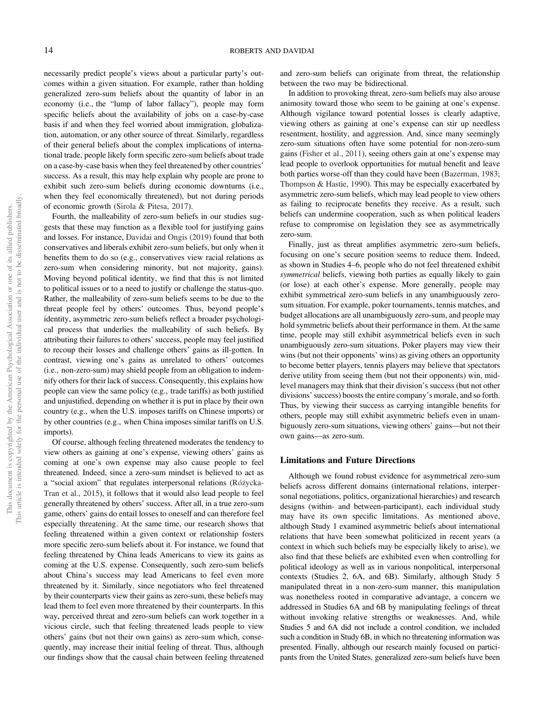necessarily predict people's views about a particular party's outcomes within a given situation. For example, rather than holding generalized zero-sum beliefs about the quantity of labor in an economy (i.e., the "lump of labor fallacy"), people may form specific beliefs about the availability of jobs on a case-by-case basis if and when they feel worried about immigration, globalization, automation, or any other source of threat. Similarly, regardless of their general beliefs about the complex implications of international trade, people likely form specific zero-sum beliefs about trade on a case-by-case basis when they feel threatened by other countries' success. As a result, this may help explain why people are prone to exhibit such zero-sum beliefs during economic downturns (i.e., when they feel economically threatened), but not during periods of economic growth (Sirola & Pitesa, 2017).

Fourth, the malleability of zero-sum beliefs in our studies suggests that these may function as a flexible tool for justifying gains and losses. For instance, Davidai and Ongis (2019) found that both conservatives and liberals exhibit zero-sum beliefs, but only when it benefits them to do so (e.g., conservatives view racial relations as zero-sum when considering minority, but not majority, gains). Moving beyond political identity, we find that this is not limited to political issues or to a need to justify or challenge the status-quo. Rather, the malleability of zero-sum beliefs seems to be due to the threat people feel by others' outcomes. Thus, beyond people's identity, asymmetric zero-sum beliefs reflect a broader psychological process that underlies the malleability of such beliefs. By attributing their failures to others' success, people may feel justified to recoup their losses and challenge others' gains as ill-gotten. In contrast, viewing one's gains as unrelated to others' outcomes (i.e., non-zero-sum) may shield people from an obligation to indemnify others for their lack of success. Consequently, this explains how people can view the same policy (e.g., trade tariffs) as both justified and unjustified, depending on whether it is put in place by their own country (e.g., when the U.S. imposes tariffs on Chinese imports) or by other countries (e.g., when China imposes similar tariffs on U.S. imports).

Of course, although feeling threatened moderates the tendency to view others as gaining at one's expense, viewing others' gains as coming at one's own expense may also cause people to feel threatened. Indeed, since a zero-sum mindset is believed to act as a "social axiom" that regulates interpersonal relations (Różycka-Tran et al., 2015), it follows that it would also lead people to feel generally threatened by others' success. After all, in a true zero-sum game, others' gains do entail losses to oneself and can therefore feel especially threatening. At the same time, our research shows that feeling threatened within a given context or relationship fosters more specific zero-sum beliefs about it. For instance, we found that feeling threatened by China leads Americans to view its gains as coming at the U.S. expense. Consequently, such zero-sum beliefs about China's success may lead Americans to feel even more threatened by it. Similarly, since negotiators who feel threatened by their counterparts view their gains as zero-sum, these beliefs may lead them to feel even more threatened by their counterparts. In this way, perceived threat and zero-sum beliefs can work together in a vicious circle, such that feeling threatened leads people to view others' gains (but not their own gains) as zero-sum which, consequently, may increase their initial feeling of threat. Thus, although our findings show that the causal chain between feeling threatened

and zero-sum beliefs can originate from threat, the relationship between the two may be bidirectional.

In addition to provoking threat, zero-sum beliefs may also arouse animosity toward those who seem to be gaining at one's expense. Although vigilance toward potential losses is clearly adaptive, viewing others as gaining at one's expense can stir up needless resentment, hostility, and aggression. And, since many seemingly zero-sum situations often have some potential for non-zero-sum gains (Fisher et al., 2011), seeing others gain at one's expense may lead people to overlook opportunities for mutual benefit and leave both parties worse-off than they could have been (Bazerman, 1983; Thompson & Hastie, 1990). This may be especially exacerbated by asymmetric zero-sum beliefs, which may lead people to view others as failing to reciprocate benefits they receive. As a result, such beliefs can undermine cooperation, such as when political leaders refuse to compromise on legislation they see as asymmetrically zero-sum.

Finally, just as threat amplifies asymmetric zero-sum beliefs, focusing on one's secure position seems to reduce them. Indeed, as shown in Studies 4–6, people who do not feel threatened exhibit *symmetrical* beliefs, viewing both parties as equally likely to gain (or lose) at each other's expense. More generally, people may exhibit symmetrical zero-sum beliefs in any unambiguously zerosum situation. For example, poker tournaments, tennis matches, and budget allocations are all unambiguously zero-sum, and people may hold symmetric beliefs about their performance in them. At the same time, people may still exhibit asymmetrical beliefs even in such unambiguously zero-sum situations. Poker players may view their wins (but not their opponents' wins) as giving others an opportunity to become better players, tennis players may believe that spectators derive utility from seeing them (but not their opponents) win, midlevel managers may think that their division's success (but not other divisions'success) boosts the entire company's morale, and so forth. Thus, by viewing their success as carrying intangible benefits for others, people may still exhibit asymmetric beliefs even in unambiguously zero-sum situations, viewing others' gains—but not their own gains—as zero-sum.

### Limitations and Future Directions

Although we found robust evidence for asymmetrical zero-sum beliefs across different domains (international relations, interpersonal negotiations, politics, organizational hierarchies) and research designs (within- and between-participant), each individual study may have its own specific limitations. As mentioned above, although Study 1 examined asymmetric beliefs about international relations that have been somewhat politicized in recent years (a context in which such beliefs may be especially likely to arise), we also find that these beliefs are exhibited even when controlling for political ideology as well as in various nonpolitical, interpersonal contexts (Studies 2, 6A, and 6B). Similarly, although Study 5 manipulated threat in a non-zero-sum manner, this manipulation was nonetheless rooted in comparative advantage, a concern we addressed in Studies 6A and 6B by manipulating feelings of threat without invoking relative strengths or weaknesses. And, while Studies 5 and 6A did not include a control condition, we included such a condition in Study 6B, in which no threatening information was presented. Finally, although our research mainly focused on participants from the United States, generalized zero-sum beliefs have been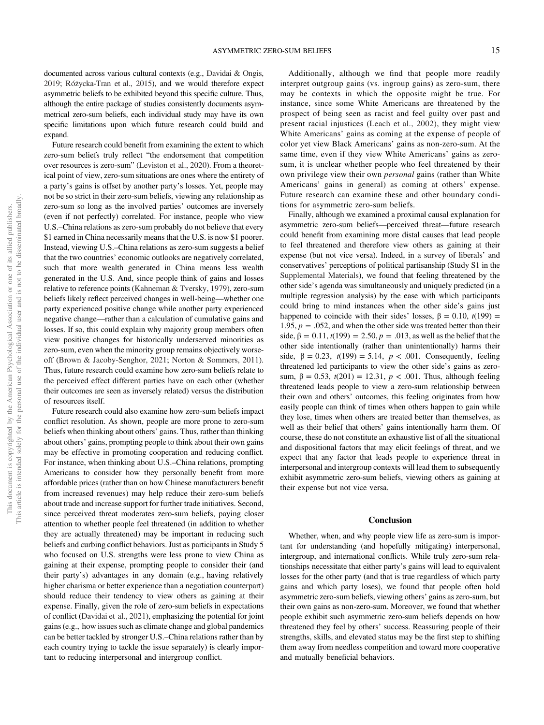documented across various cultural contexts (e.g., Davidai & Ongis, 2019; Różycka-Tran et al., 2015), and we would therefore expect asymmetric beliefs to be exhibited beyond this specific culture. Thus, although the entire package of studies consistently documents asymmetrical zero-sum beliefs, each individual study may have its own specific limitations upon which future research could build and expand.

Future research could benefit from examining the extent to which zero-sum beliefs truly reflect "the endorsement that competition over resources is zero-sum" (Leviston et al., 2020). From a theoretical point of view, zero-sum situations are ones where the entirety of a party's gains is offset by another party's losses. Yet, people may not be so strict in their zero-sum beliefs, viewing any relationship as zero-sum so long as the involved parties' outcomes are inversely (even if not perfectly) correlated. For instance, people who view U.S.–China relations as zero-sum probably do not believe that every \$1 earned in China necessarily means that the U.S. is now \$1 poorer. Instead, viewing U.S.–China relations as zero-sum suggests a belief that the two countries' economic outlooks are negatively correlated, such that more wealth generated in China means less wealth generated in the U.S. And, since people think of gains and losses relative to reference points (Kahneman & Tversky, 1979), zero-sum beliefs likely reflect perceived changes in well-being—whether one party experienced positive change while another party experienced negative change—rather than a calculation of cumulative gains and losses. If so, this could explain why majority group members often view positive changes for historically underserved minorities as zero-sum, even when the minority group remains objectively worseoff (Brown & Jacoby-Senghor, 2021; Norton & Sommers, 2011). Thus, future research could examine how zero-sum beliefs relate to the perceived effect different parties have on each other (whether their outcomes are seen as inversely related) versus the distribution of resources itself.

Future research could also examine how zero-sum beliefs impact conflict resolution. As shown, people are more prone to zero-sum beliefs when thinking about others' gains. Thus, rather than thinking about others' gains, prompting people to think about their own gains may be effective in promoting cooperation and reducing conflict. For instance, when thinking about U.S.–China relations, prompting Americans to consider how they personally benefit from more affordable prices (rather than on how Chinese manufacturers benefit from increased revenues) may help reduce their zero-sum beliefs about trade and increase support for further trade initiatives. Second, since perceived threat moderates zero-sum beliefs, paying closer attention to whether people feel threatened (in addition to whether they are actually threatened) may be important in reducing such beliefs and curbing conflict behaviors. Just as participants in Study 5 who focused on U.S. strengths were less prone to view China as gaining at their expense, prompting people to consider their (and their party's) advantages in any domain (e.g., having relatively higher charisma or better experience than a negotiation counterpart) should reduce their tendency to view others as gaining at their expense. Finally, given the role of zero-sum beliefs in expectations of conflict (Davidai et al., 2021), emphasizing the potential for joint gains (e.g., how issues such as climate change and global pandemics can be better tackled by stronger U.S.–China relations rather than by each country trying to tackle the issue separately) is clearly important to reducing interpersonal and intergroup conflict.

Additionally, although we find that people more readily interpret outgroup gains (vs. ingroup gains) as zero-sum, there may be contexts in which the opposite might be true. For instance, since some White Americans are threatened by the prospect of being seen as racist and feel guilty over past and present racial injustices (Leach et al., 2002), they might view White Americans' gains as coming at the expense of people of color yet view Black Americans' gains as non-zero-sum. At the same time, even if they view White Americans' gains as zerosum, it is unclear whether people who feel threatened by their own privilege view their own *personal* gains (rather than White Americans' gains in general) as coming at others' expense. Future research can examine these and other boundary conditions for asymmetric zero-sum beliefs.

Finally, although we examined a proximal causal explanation for asymmetric zero-sum beliefs—perceived threat—future research could benefit from examining more distal causes that lead people to feel threatened and therefore view others as gaining at their expense (but not vice versa). Indeed, in a survey of liberals' and conservatives' perceptions of political partisanship (Study S1 in the Supplemental Materials), we found that feeling threatened by the other side's agenda was simultaneously and uniquely predicted (in a multiple regression analysis) by the ease with which participants could bring to mind instances when the other side's gains just happened to coincide with their sides' losses,  $\beta = 0.10$ ,  $t(199) =$ 1.95,  $p = 0.052$ , and when the other side was treated better than their side,  $β = 0.11$ ,  $t(199) = 2.50$ ,  $p = .013$ , as well as the belief that the other side intentionally (rather than unintentionally) harms their side,  $β = 0.23$ ,  $t(199) = 5.14$ ,  $p < .001$ . Consequently, feeling threatened led participants to view the other side's gains as zerosum,  $\beta = 0.53$ ,  $t(201) = 12.31$ ,  $p < .001$ . Thus, although feeling threatened leads people to view a zero-sum relationship between their own and others' outcomes, this feeling originates from how easily people can think of times when others happen to gain while they lose, times when others are treated better than themselves, as well as their belief that others' gains intentionally harm them. Of course, these do not constitute an exhaustive list of all the situational and dispositional factors that may elicit feelings of threat, and we expect that any factor that leads people to experience threat in interpersonal and intergroup contexts will lead them to subsequently exhibit asymmetric zero-sum beliefs, viewing others as gaining at their expense but not vice versa.

### **Conclusion**

Whether, when, and why people view life as zero-sum is important for understanding (and hopefully mitigating) interpersonal, intergroup, and international conflicts. While truly zero-sum relationships necessitate that either party's gains will lead to equivalent losses for the other party (and that is true regardless of which party gains and which party loses), we found that people often hold asymmetric zero-sum beliefs, viewing others' gains as zero-sum, but their own gains as non-zero-sum. Moreover, we found that whether people exhibit such asymmetric zero-sum beliefs depends on how threatened they feel by others' success. Reassuring people of their strengths, skills, and elevated status may be the first step to shifting them away from needless competition and toward more cooperative and mutually beneficial behaviors.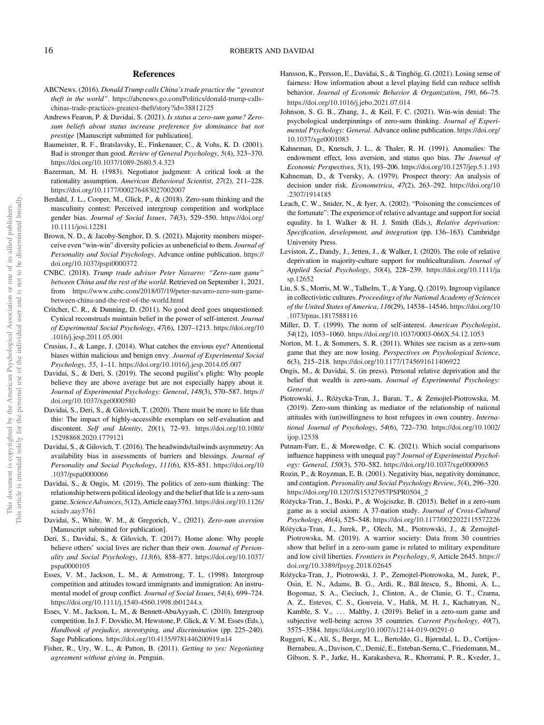# References

- ABCNews. (2016). *Donald Trump calls China*'*s trade practice the* "*greatest theft in the world*". https://abcnews.go.com/Politics/donald-trump-callschinas-trade-practices-greatest-theft/story?id=38812125
- Andrews Fearon, P. & Davidai, S. (2021). *Is status a zero-sum game? Zerosum beliefs about status increase preference for dominance but not prestige* [Manuscript submitted for publication].
- Baumeister, R. F., Bratslavsky, E., Finkenauer, C., & Vohs, K. D. (2001). Bad is stronger than good. *Review of General Psychology*, *5*(4), 323–370. https://doi.org/10.1037/1089-2680.5.4.323
- Bazerman, M. H. (1983). Negotiator judgment: A critical look at the rationality assumption. *American Behavioral Scientist*, *27*(2), 211–228. https://doi.org/10.1177/000276483027002007
- Berdahl, J. L., Cooper, M., Glick, P., & (2018). Zero‐sum thinking and the masculinity contest: Perceived intergroup competition and workplace gender bias. *Journal of Social Issues*, *74*(3), 529–550. https://doi.org/ 10.1111/josi.12281
- Brown, N. D., & Jacoby-Senghor, D. S. (2021). Majority members misperceive even "win-win" diversity policies as unbeneficial to them. *Journal of Personality and Social Psychology*. Advance online publication. https:// doi.org/10.1037/pspi0000372
- CNBC. (2018). *Trump trade advisor Peter Navarro:* "*Zero-sum game*" *between China and the rest of the world*. Retrieved on September 1, 2021, from https://www.cnbc.com/2018/07/19/peter-navarro-zero-sum-gamebetween-china-and-the-rest-of-the-world.html
- Critcher, C. R., & Dunning, D. (2011). No good deed goes unquestioned: Cynical reconstruals maintain belief in the power of self-interest. *Journal of Experimental Social Psychology*, *47*(6), 1207–1213. https://doi.org/10 .1016/j.jesp.2011.05.001
- Crusius, J., & Lange, J. (2014). What catches the envious eye? Attentional biases within malicious and benign envy. *Journal of Experimental Social Psychology*, *55*, 1–11. https://doi.org/10.1016/j.jesp.2014.05.007
- Davidai, S., & Deri, S. (2019). The second pugilist's plight: Why people believe they are above average but are not especially happy about it. *Journal of Experimental Psychology: General*, *148*(3), 570–587. https:// doi.org/10.1037/xge0000580
- Davidai, S., Deri, S., & Gilovich, T. (2020). There must be more to life than this: The impact of highly-accessible exemplars on self-evaluation and discontent. *Self and Identity*, *20*(1), 72–93. https://doi.org/10.1080/ 15298868.2020.1779121
- Davidai, S., & Gilovich, T. (2016). The headwinds/tailwinds asymmetry: An availability bias in assessments of barriers and blessings. *Journal of Personality and Social Psychology*, *111*(6), 835–851. https://doi.org/10 .1037/pspa0000066
- Davidai, S., & Ongis, M. (2019). The politics of zero-sum thinking: The relationship between political ideology and the belief that life is a zero-sum game. *Science Advances*, *5*(12), Article eaay3761. https://doi.org/10.1126/ sciadv.aay3761
- Davidai, S., White, W. M., & Gregorich, V., (2021). *Zero-sum aversion* [Manuscript submitted for publication].
- Deri, S., Davidai, S., & Gilovich, T. (2017). Home alone: Why people believe others' social lives are richer than their own. *Journal of Personality and Social Psychology*, *113*(6), 858–877. https://doi.org/10.1037/ pspa0000105
- Esses, V. M., Jackson, L. M., & Armstrong, T. L. (1998). Intergroup competition and attitudes toward immigrants and immigration: An instrumental model of group conflict. *Journal of Social Issues*, *54*(4), 699–724. https://doi.org/10.1111/j.1540-4560.1998.tb01244.x
- Esses, V. M., Jackson, L. M., & Bennett-AbuAyyash, C. (2010). Intergroup competition. In J. F. Dovidio, M. Hewstone, P. Glick, & V. M. Esses (Eds.), *Handbook of prejudice, stereotyping, and discrimination* (pp. 225–240). Sage Publications. https://doi.org/10.4135/9781446200919.n14
- Fisher, R., Ury, W. L., & Patton, B. (2011). *Getting to yes: Negotiating agreement without giving in*. Penguin.
- Hansson, K., Persson, E., Davidai, S., & Tinghög, G. (2021). Losing sense of fairness: How information about a level playing field can reduce selfish behavior. *Journal of Economic Behavior & Organization*, *190*, 66–75. https://doi.org/10.1016/j.jebo.2021.07.014
- Johnson, S. G. B., Zhang, J., & Keil, F. C. (2021). Win-win denial: The psychological underpinnings of zero-sum thinking. *Journal of Experimental Psychology: General*. Advance online publication. https://doi.org/ 10.1037/xge0001083
- Kahneman, D., Knetsch, J. L., & Thaler, R. H. (1991). Anomalies: The endowment effect, loss aversion, and status quo bias. *The Journal of Economic Perspectives*, *5*(1), 193–206. https://doi.org/10.1257/jep.5.1.193
- Kahneman, D., & Tversky, A. (1979). Prospect theory: An analysis of decision under risk. *Econometrica*, *47*(2), 263–292. https://doi.org/10 .2307/1914185
- Leach, C. W., Snider, N., & Iyer, A. (2002). "Poisoning the consciences of the fortunate": The experience of relative advantage and support for social equality. In I. Walker & H. J. Smith (Eds.), *Relative deprivation: Speci*fi*cation, development, and integration* (pp. 136–163). Cambridge University Press.
- Leviston, Z., Dandy, J., Jetten, J., & Walker, I. (2020). The role of relative deprivation in majority‐culture support for multiculturalism. *Journal of Applied Social Psychology*, *50*(4), 228–239. https://doi.org/10.1111/ja sp.12652
- Liu, S. S., Morris, M. W., Talhelm, T., & Yang, Q. (2019). Ingroup vigilance in collectivistic cultures. *Proceedings of the National Academy of Sciences of the United States of America*, *116*(29), 14538–14546. https://doi.org/10 .1073/pnas.1817588116
- Miller, D. T. (1999). The norm of self-interest. *American Psychologist*, *54*(12), 1053–1060. https://doi.org/10.1037/0003-066X.54.12.1053
- Norton, M. I., & Sommers, S. R. (2011). Whites see racism as a zero-sum game that they are now losing. *Perspectives on Psychological Science*, *6*(3), 215–218. https://doi.org/10.1177/1745691611406922
- Ongis, M., & Davidai, S. (in press). Personal relative deprivation and the belief that wealth is zero-sum. *Journal of Experimental Psychology: General*.
- Piotrowski, J., Ro´życka‐Tran, J., Baran, T., & Żemojtel‐Piotrowska, M. (2019). Zero-sum thinking as mediator of the relationship of national attitudes with (un)willingness to host refugees in own country. *International Journal of Psychology*, *54*(6), 722–730. https://doi.org/10.1002/ ijop.12538
- Putnam-Farr, E., & Morewedge, C. K. (2021). Which social comparisons influence happiness with unequal pay? *Journal of Experimental Psychology: General*, *150*(3), 570–582. https://doi.org/10.1037/xge0000965
- Rozin, P., & Royzman, E. B. (2001). Negativity bias, negativity dominance, and contagion. *Personality and Social Psychology Review*, *5*(4), 296–320. https://doi.org/10.1207/S15327957PSPR0504\_2
- Ro´życka-Tran, J., Boski, P., & Wojciszke, B. (2015). Belief in a zero-sum game as a social axiom: A 37-nation study. *Journal of Cross-Cultural Psychology*, *46*(4), 525–548. https://doi.org/10.1177/0022022115572226
- Ro´życka-Tran, J., Jurek, P., Olech, M., Piotrowski, J., & Żemojtel-Piotrowska, M. (2019). A warrior society: Data from 30 countries show that belief in a zero-sum game is related to military expenditure and low civil liberties. *Frontiers in Psychology*, *9*, Article 2645. https:// doi.org/10.3389/fpsyg.2018.02645
- Ro´życka-Tran, J., Piotrowski, J. P., Żemojtel-Piotrowska, M., Jurek, P., Osin, E. N., Adams, B. G., Ardi, R., Băl ătescu, S., Bhomi, A. L., Bogomaz, S. A., Cieciuch, J., Clinton, A., de Clunie, G. T., Czarna, A. Z., Esteves, C. S., Gouveia, V., Halik, M. H. J., Kachatryan, N., Kamble, S. V., ... Maltby, J. (2019). Belief in a zero-sum game and subjective well-being across 35 countries. *Current Psychology*, *40*(7), 3575–3584. https://doi.org/10.1007/s12144-019-00291-0
- Ruggeri, K., Alí, S., Berge, M. L., Bertoldo, G., Bjørndal, L. D., Cortijos-Bernabeu, A., Davison, C., Demić, E., Esteban-Serna, C., Friedemann, M., Gibson, S. P., Jarke, H., Karakasheva, R., Khorrami, P. R., Kveder, J.,